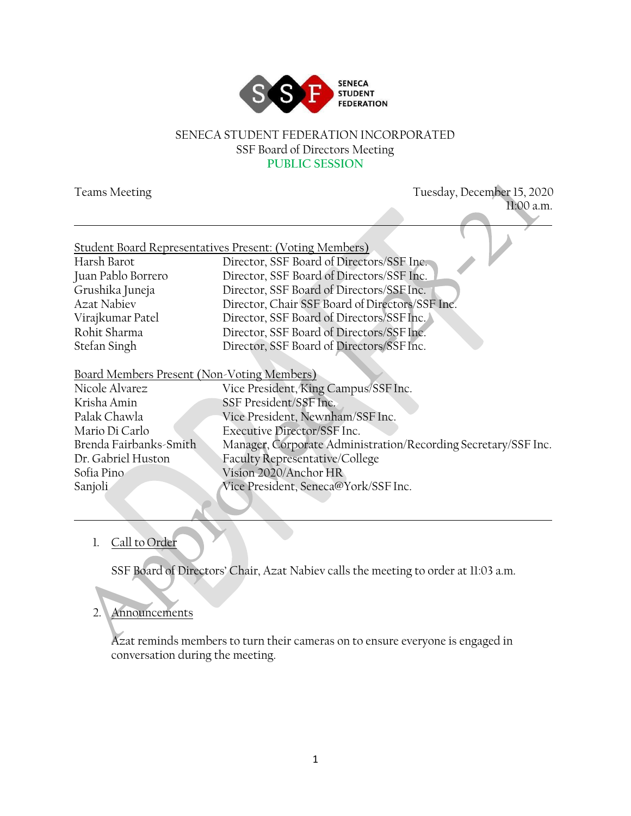

#### SENECA STUDENT FEDERATION INCORPORATED SSF Board of Directors Meeting **PUBLIC SESSION**

| <b>Teams Meeting</b>                       | Tuesday, December 15, 2020                                     |
|--------------------------------------------|----------------------------------------------------------------|
|                                            | 11:00 a.m.                                                     |
|                                            | Student Board Representatives Present: (Voting Members)        |
| Harsh Barot                                | Director, SSF Board of Directors/SSF Inc.                      |
| Juan Pablo Borrero                         | Director, SSF Board of Directors/SSF Inc.                      |
| Grushika Juneja                            | Director, SSF Board of Directors/SSF Inc.                      |
| <b>Azat Nabiev</b>                         | Director, Chair SSF Board of Directors/SSF Inc.                |
| Virajkumar Patel                           | Director, SSF Board of Directors/SSF Inc.                      |
| Rohit Sharma                               | Director, SSF Board of Directors/SSF Inc.                      |
| Stefan Singh                               | Director, SSF Board of Directors/SSF Inc.                      |
| Board Members Present (Non-Voting Members) |                                                                |
| Nicole Alvarez                             | Vice President, King Campus/SSF Inc.                           |
| Krisha Amin                                | SSF President/SSF Inc.                                         |
| Palak Chawla                               | Vice President, Newnham/SSF Inc.                               |
| Mario Di Carlo                             | Executive Director/SSF Inc.                                    |
| Brenda Fairbanks-Smith                     | Manager, Corporate Administration/Recording Secretary/SSF Inc. |
| Dr. Gabriel Huston                         | Faculty Representative/College                                 |
| Sofia Pino                                 | Vision 2020/Anchor HR                                          |
| Sanjoli                                    | Vice President, Seneca@York/SSF Inc.                           |

## 1. Call to Order

SSF Board of Directors' Chair, Azat Nabiev calls the meeting to order at 11:03 a.m.

# 2. Announcements

Azat reminds members to turn their cameras on to ensure everyone is engaged in conversation during the meeting.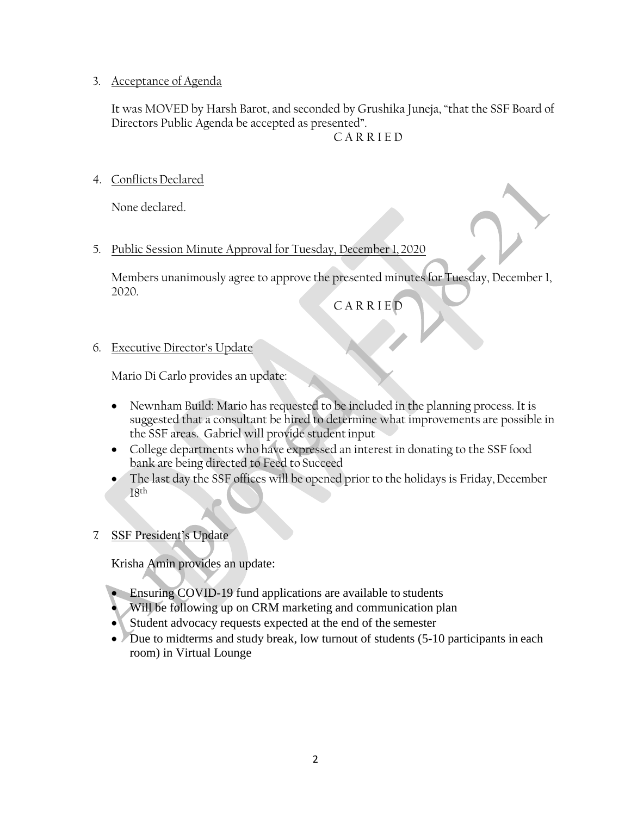### 3. Acceptance of Agenda

It was MOVED by Harsh Barot, and seconded by Grushika Juneja, "that the SSF Board of Directors Public Agenda be accepted as presented".

C A R R I E D

4. ConflictsDeclared

None declared.

5. Public Session Minute Approval for Tuesday, December 1, 2020

Members unanimously agree to approve the presented minutes for Tuesday, December 1, 2020.

C A R R I E D

## 6. Executive Director's Update

Mario Di Carlo provides an update:

- Newnham Build: Mario has requested to be included in the planning process. It is suggested that a consultant be hired to determine what improvements are possible in the SSF areas. Gabriel will provide studentinput
- College departments who have expressed an interest in donating to the SSF food bank are being directed to Feed to Succeed
- The last day the SSF offices will be opened prior to the holidays is Friday, December 18th

## 7. SSF President's Update

Krisha Amin provides an update:

- Ensuring COVID-19 fund applications are available to students
- Will be following up on CRM marketing and communication plan
- Student advocacy requests expected at the end of the semester
- Due to midterms and study break, low turnout of students (5-10 participants in each room) in Virtual Lounge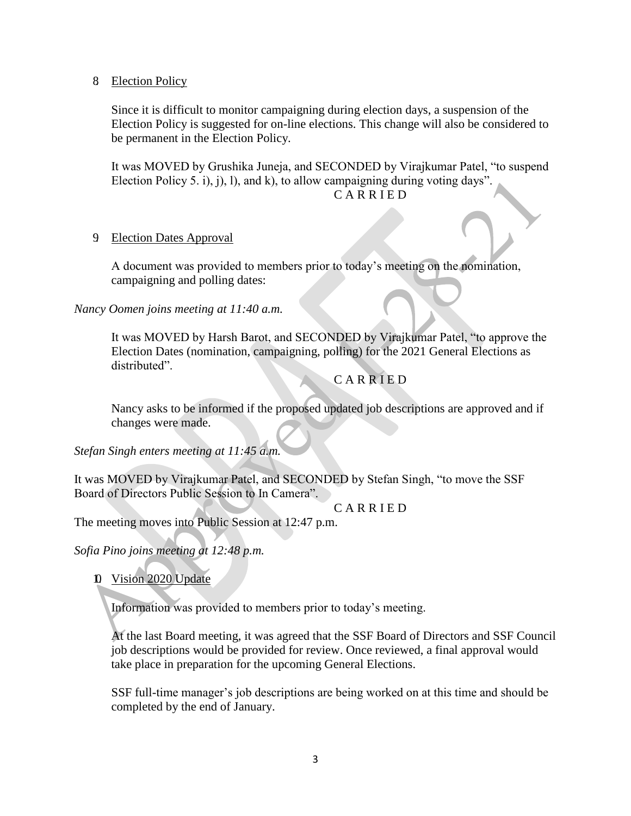8. Election Policy

Since it is difficult to monitor campaigning during election days, a suspension of the Election Policy is suggested for on-line elections. This change will also be considered to be permanent in the Election Policy.

It was MOVED by Grushika Juneja, and SECONDED by Virajkumar Patel, "to suspend Election Policy 5. i), j), l), and k), to allow campaigning during voting days".

## C A R R I E D

#### 9. Election Dates Approval

A document was provided to members prior to today's meeting on the nomination, campaigning and polling dates:

*Nancy Oomen joins meeting at 11:40 a.m.*

It was MOVED by Harsh Barot, and SECONDED by Virajkumar Patel, "to approve the Election Dates (nomination, campaigning, polling) for the 2021 General Elections as distributed".

#### **CARRIED**

Nancy asks to be informed if the proposed updated job descriptions are approved and if changes were made.

*Stefan Singh enters meeting at 11:45 a.m.*

It was MOVED by Virajkumar Patel, and SECONDED by Stefan Singh, "to move the SSF Board of Directors Public Session to In Camera".

C A R R I E D

The meeting moves into Public Session at 12:47 p.m.

*Sofia Pino joins meeting at 12:48 p.m.*

10. Vision 2020 Update

Information was provided to members prior to today's meeting.

At the last Board meeting, it was agreed that the SSF Board of Directors and SSF Council job descriptions would be provided for review. Once reviewed, a final approval would take place in preparation for the upcoming General Elections.

SSF full-time manager's job descriptions are being worked on at this time and should be completed by the end of January.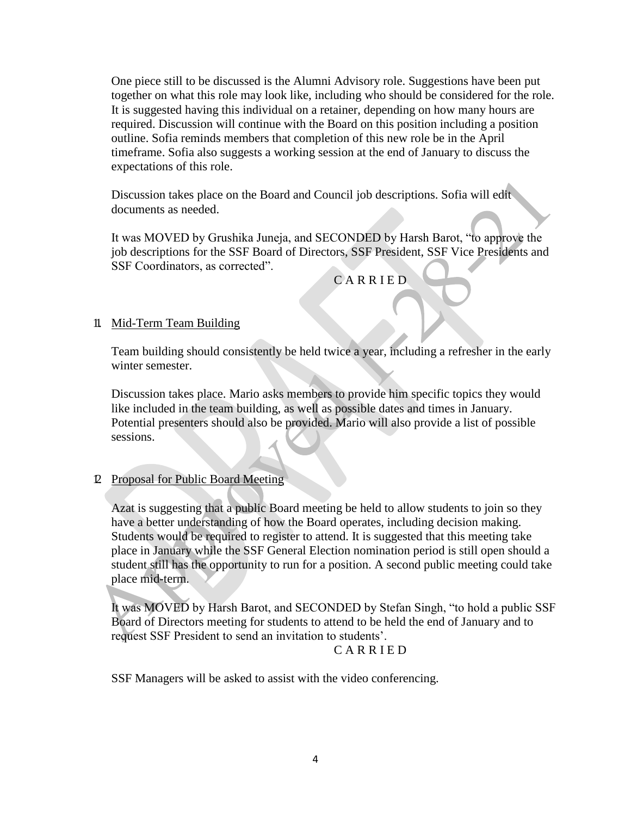One piece still to be discussed is the Alumni Advisory role. Suggestions have been put together on what this role may look like, including who should be considered for the role. It is suggested having this individual on a retainer, depending on how many hours are required. Discussion will continue with the Board on this position including a position outline. Sofia reminds members that completion of this new role be in the April timeframe. Sofia also suggests a working session at the end of January to discuss the expectations of this role.

Discussion takes place on the Board and Council job descriptions. Sofia will edit documents as needed.

It was MOVED by Grushika Juneja, and SECONDED by Harsh Barot, "to approve the job descriptions for the SSF Board of Directors, SSF President, SSF Vice Presidents and SSF Coordinators, as corrected".

C A R R I E D

#### 11. Mid-Term Team Building

Team building should consistently be held twice a year, including a refresher in the early winter semester.

Discussion takes place. Mario asks members to provide him specific topics they would like included in the team building, as well as possible dates and times in January. Potential presenters should also be provided. Mario will also provide a list of possible sessions.

## 12. Proposal for Public Board Meeting

Azat is suggesting that a public Board meeting be held to allow students to join so they have a better understanding of how the Board operates, including decision making. Students would be required to register to attend. It is suggested that this meeting take place in January while the SSF General Election nomination period is still open should a student still has the opportunity to run for a position. A second public meeting could take place mid-term.

It was MOVED by Harsh Barot, and SECONDED by Stefan Singh, "to hold a public SSF Board of Directors meeting for students to attend to be held the end of January and to request SSF President to send an invitation to students'.

#### C A R R I E D

SSF Managers will be asked to assist with the video conferencing.